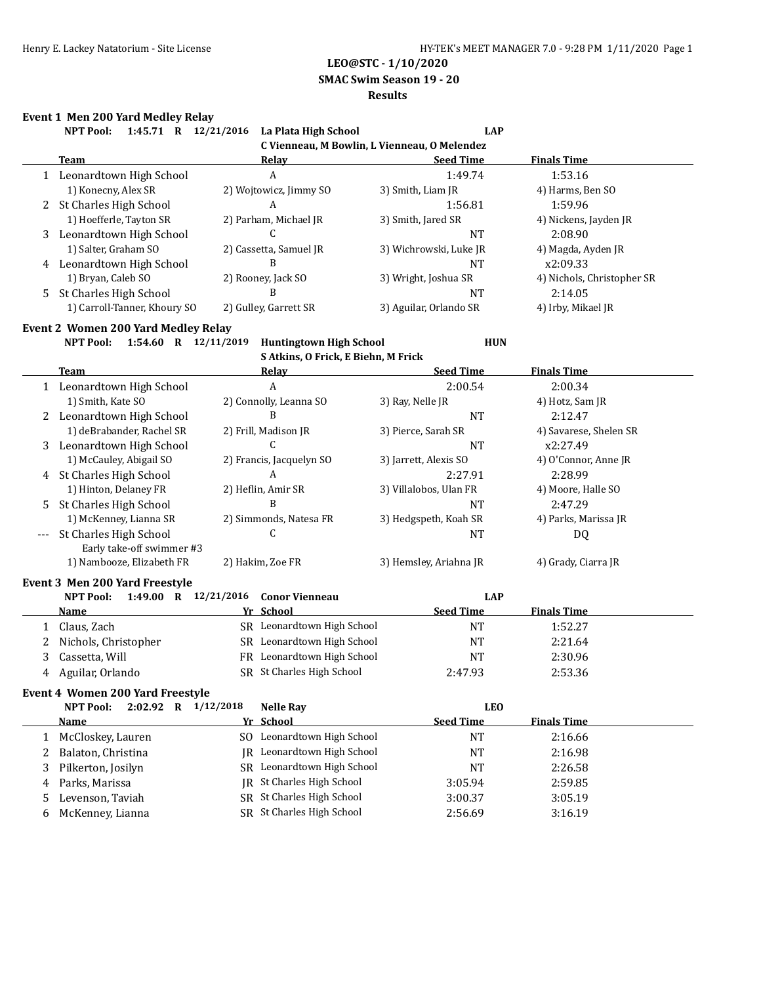**SMAC Swim Season 19 - 20**

#### **Results**

# **Event 1 Men 200 Yard Medley Relay**

|                  | EVENT 1 MEN 200 Tard Medicy Relay |                                    |                                              |                            |
|------------------|-----------------------------------|------------------------------------|----------------------------------------------|----------------------------|
| <b>NPT Pool:</b> | 1:45.71<br>R                      | 12/21/2016<br>La Plata High School | <b>LAP</b>                                   |                            |
|                  |                                   |                                    | C Vienneau, M Bowlin, L Vienneau, O Melendez |                            |
| Team             |                                   | Relay                              | <b>Seed Time</b>                             | <b>Finals Time</b>         |
|                  | Leonardtown High School           | A                                  | 1:49.74                                      | 1:53.16                    |
|                  | 1) Konecny, Alex SR               | 2) Wojtowicz, Jimmy SO             | 3) Smith, Liam JR                            | 4) Harms, Ben SO           |
|                  | 2 St Charles High School          | A                                  | 1:56.81                                      | 1:59.96                    |
|                  | 1) Hoefferle, Tayton SR           | 2) Parham, Michael JR              | 3) Smith, Jared SR                           | 4) Nickens, Jayden JR      |
| 3                | Leonardtown High School           |                                    | <b>NT</b>                                    | 2:08.90                    |
|                  | 1) Salter, Graham SO              | 2) Cassetta, Samuel JR             | 3) Wichrowski, Luke JR                       | 4) Magda, Ayden JR         |
| 4                | Leonardtown High School           | В                                  | <b>NT</b>                                    | x2:09.33                   |
|                  | 1) Bryan, Caleb SO                | 2) Rooney, Jack SO                 | 3) Wright, Joshua SR                         | 4) Nichols, Christopher SR |
| 5                | St Charles High School            | B                                  | <b>NT</b>                                    | 2:14.05                    |
|                  | 1) Carroll-Tanner, Khoury SO      | 2) Gulley, Garrett SR              | 3) Aguilar, Orlando SR                       | 4) Irby, Mikael IR         |

#### **Event 2 Women 200 Yard Medley Relay**

**NPT Pool: 1:54.60 R 12/11/2019 Huntingtown High School HUN**

**S Atkins, O Frick, E Biehn, M Frick**

| <b>Team</b>                             | Relay                      | <b>Seed Time</b>       | <b>Finals Time</b>     |
|-----------------------------------------|----------------------------|------------------------|------------------------|
| Leonardtown High School<br>1            | A                          | 2:00.54                | 2:00.34                |
| 1) Smith, Kate SO                       | 2) Connolly, Leanna SO     | 3) Ray, Nelle JR       | 4) Hotz, Sam JR        |
| Leonardtown High School<br>2            | B                          | <b>NT</b>              | 2:12.47                |
| 1) deBrabander, Rachel SR               | 2) Frill, Madison JR       | 3) Pierce, Sarah SR    | 4) Savarese, Shelen SR |
| Leonardtown High School<br>3            | C                          | <b>NT</b>              | x2:27.49               |
| 1) McCauley, Abigail SO                 | 2) Francis, Jacquelyn SO   | 3) Jarrett, Alexis SO  | 4) O'Connor, Anne JR   |
| St Charles High School<br>4             | A                          | 2:27.91                | 2:28.99                |
| 1) Hinton, Delaney FR                   | 2) Heflin, Amir SR         | 3) Villalobos, Ulan FR | 4) Moore, Halle SO     |
| St Charles High School<br>5             |                            | <b>NT</b>              | 2:47.29                |
| 1) McKenney, Lianna SR                  | 2) Simmonds, Natesa FR     | 3) Hedgspeth, Koah SR  | 4) Parks, Marissa JR   |
| <b>St Charles High School</b>           | C                          | <b>NT</b>              | DQ                     |
| Early take-off swimmer #3               |                            |                        |                        |
| 1) Nambooze, Elizabeth FR               | 2) Hakim, Zoe FR           | 3) Hemsley, Ariahna JR | 4) Grady, Ciarra JR    |
| <b>Event 3 Men 200 Yard Freestyle</b>   |                            |                        |                        |
| NPT Pool: 1:49.00 R 12/21/2016          | <b>Conor Vienneau</b>      | <b>LAP</b>             |                        |
| Name                                    | Yr School                  | <b>Seed Time</b>       | <b>Finals Time</b>     |
| Claus, Zach<br>1                        | SR Leonardtown High School | <b>NT</b>              | 1:52.27                |
| Nichols, Christopher<br>2               | SR Leonardtown High School | <b>NT</b>              | 2:21.64                |
| 3<br>Cassetta, Will                     | FR Leonardtown High School | <b>NT</b>              | 2:30.96                |
| Aguilar, Orlando<br>4                   | SR St Charles High School  | 2:47.93                | 2:53.36                |
| <b>Event 4 Women 200 Yard Freestyle</b> |                            |                        |                        |
| 2:02.92 R 1/12/2018<br><b>NPT Pool:</b> | <b>Nelle Rav</b>           | <b>LEO</b>             |                        |
| Name                                    | Yr School                  | <b>Seed Time</b>       | <b>Finals Time</b>     |
| McCloskey, Lauren<br>1                  | SO Leonardtown High School | <b>NT</b>              | 2:16.66                |
| Balaton, Christina<br>2                 | JR Leonardtown High School | NT                     | 2:16.98                |
| Pilkerton, Josilyn<br>3                 | SR Leonardtown High School | <b>NT</b>              | 2:26.58                |
|                                         |                            |                        |                        |

5 Levenson, Taviah SR St Charles High School 3:00.37 3:05.19 6 McKenney, Lianna SR St Charles High School 2:56.69 3:16.19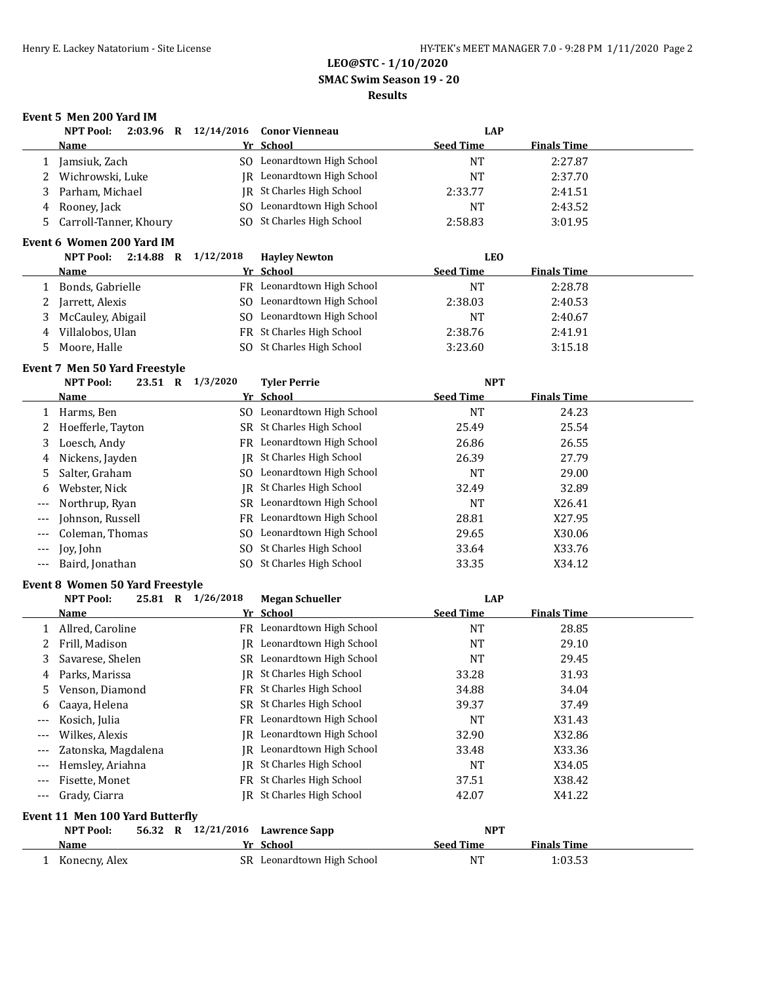**SMAC Swim Season 19 - 20**

## **Results**

# **Event 5 Men 200 Yard IM**

|                | <b>NPT Pool:</b>                                           |             | 2:03.96 R 12/14/2016 | <b>Conor Vienneau</b>      |                  | <b>LAP</b>         |  |
|----------------|------------------------------------------------------------|-------------|----------------------|----------------------------|------------------|--------------------|--|
|                | <b>Name</b>                                                |             |                      | Yr School                  | <b>Seed Time</b> | <b>Finals Time</b> |  |
| 1              | Jamsiuk, Zach                                              |             |                      | SO Leonardtown High School | <b>NT</b>        | 2:27.87            |  |
| 2              | Wichrowski, Luke                                           |             | IR                   | Leonardtown High School    | <b>NT</b>        | 2:37.70            |  |
| 3              | Parham, Michael                                            |             |                      | JR St Charles High School  | 2:33.77          | 2:41.51            |  |
| 4              | Rooney, Jack                                               |             | SO.                  | Leonardtown High School    | <b>NT</b>        | 2:43.52            |  |
| 5              | Carroll-Tanner, Khoury                                     |             |                      | SO St Charles High School  | 2:58.83          | 3:01.95            |  |
|                | Event 6 Women 200 Yard IM                                  |             |                      |                            |                  |                    |  |
|                | <b>NPT Pool:</b>                                           | $2:14.88$ R | 1/12/2018            | <b>Hayley Newton</b>       |                  | <b>LEO</b>         |  |
|                | <u>Name</u>                                                |             |                      | Yr School                  | <b>Seed Time</b> | <b>Finals Time</b> |  |
| $\mathbf{1}$   | Bonds, Gabrielle                                           |             |                      | FR Leonardtown High School | <b>NT</b>        | 2:28.78            |  |
| 2              | Jarrett, Alexis                                            |             |                      | SO Leonardtown High School | 2:38.03          | 2:40.53            |  |
| 3              | McCauley, Abigail                                          |             |                      | SO Leonardtown High School | <b>NT</b>        | 2:40.67            |  |
| 4              | Villalobos, Ulan                                           |             |                      | FR St Charles High School  | 2:38.76          | 2:41.91            |  |
| 5              | Moore, Halle                                               |             | SO.                  | St Charles High School     | 3:23.60          | 3:15.18            |  |
|                | Event 7 Men 50 Yard Freestyle                              |             |                      |                            |                  |                    |  |
|                | <b>NPT Pool:</b>                                           | 23.51 R     | 1/3/2020             | <b>Tyler Perrie</b>        |                  | <b>NPT</b>         |  |
|                | Name                                                       |             |                      | Yr School                  | <b>Seed Time</b> | <b>Finals Time</b> |  |
|                | 1 Harms, Ben                                               |             |                      | SO Leonardtown High School | <b>NT</b>        | 24.23              |  |
| 2              | Hoefferle, Tayton                                          |             |                      | SR St Charles High School  | 25.49            | 25.54              |  |
| 3              | Loesch, Andy                                               |             |                      | FR Leonardtown High School | 26.86            | 26.55              |  |
| 4              | Nickens, Jayden                                            |             |                      | JR St Charles High School  | 26.39            | 27.79              |  |
| 5              | Salter, Graham                                             |             |                      | SO Leonardtown High School | <b>NT</b>        | 29.00              |  |
| 6              | Webster, Nick                                              |             |                      | JR St Charles High School  | 32.49            | 32.89              |  |
|                | Northrup, Ryan                                             |             |                      | SR Leonardtown High School | <b>NT</b>        | X26.41             |  |
| ---            | Johnson, Russell                                           |             | FR                   | Leonardtown High School    | 28.81            | X27.95             |  |
|                | Coleman, Thomas                                            |             | SO.                  | Leonardtown High School    | 29.65            | X30.06             |  |
| $---$          | Joy, John                                                  |             | SO.                  | St Charles High School     | 33.64            | X33.76             |  |
| $---$          | Baird, Jonathan                                            |             |                      | SO St Charles High School  | 33.35            | X34.12             |  |
|                |                                                            |             |                      |                            |                  |                    |  |
|                | <b>Event 8 Women 50 Yard Freestyle</b><br><b>NPT Pool:</b> |             | 25.81 R 1/26/2018    | <b>Megan Schueller</b>     |                  | <b>LAP</b>         |  |
|                | Name                                                       |             |                      | Yr School                  | <b>Seed Time</b> | <b>Finals Time</b> |  |
|                | 1 Allred, Caroline                                         |             |                      | FR Leonardtown High School | <b>NT</b>        | 28.85              |  |
| 2              | Frill, Madison                                             |             |                      | JR Leonardtown High School | <b>NT</b>        | 29.10              |  |
| 3              | Savarese, Shelen                                           |             |                      | SR Leonardtown High School | NT               | 29.45              |  |
| 4              | Parks, Marissa                                             |             |                      | JR St Charles High School  | 33.28            | 31.93              |  |
| 5              | Venson, Diamond                                            |             |                      | FR St Charles High School  | 34.88            | 34.04              |  |
| 6              | Caaya, Helena                                              |             | SR                   | St Charles High School     | 39.37            | 37.49              |  |
| $---$          | Kosich, Julia                                              |             | FR                   | Leonardtown High School    | <b>NT</b>        | X31.43             |  |
| ---            | Wilkes, Alexis                                             |             | IR                   | Leonardtown High School    | 32.90            | X32.86             |  |
| $--$           | Zatonska, Magdalena                                        |             | IR                   | Leonardtown High School    | 33.48            | X33.36             |  |
| $---$          | Hemsley, Ariahna                                           |             | IR                   | St Charles High School     | <b>NT</b>        | X34.05             |  |
|                | Fisette, Monet                                             |             | FR                   | St Charles High School     | 37.51            | X38.42             |  |
| $---$<br>$---$ | Grady, Ciarra                                              |             |                      | JR St Charles High School  | 42.07            | X41.22             |  |
|                |                                                            |             |                      |                            |                  |                    |  |
|                | Event 11 Men 100 Yard Butterfly                            |             |                      |                            |                  |                    |  |
|                | <b>NPT Pool:</b>                                           |             | 56.32 R 12/21/2016   | <b>Lawrence Sapp</b>       |                  | <b>NPT</b>         |  |
|                | <u>Name</u>                                                |             |                      | Yr School                  | <b>Seed Time</b> | <b>Finals Time</b> |  |
|                | 1 Konecny, Alex                                            |             |                      | SR Leonardtown High School | <b>NT</b>        | 1:03.53            |  |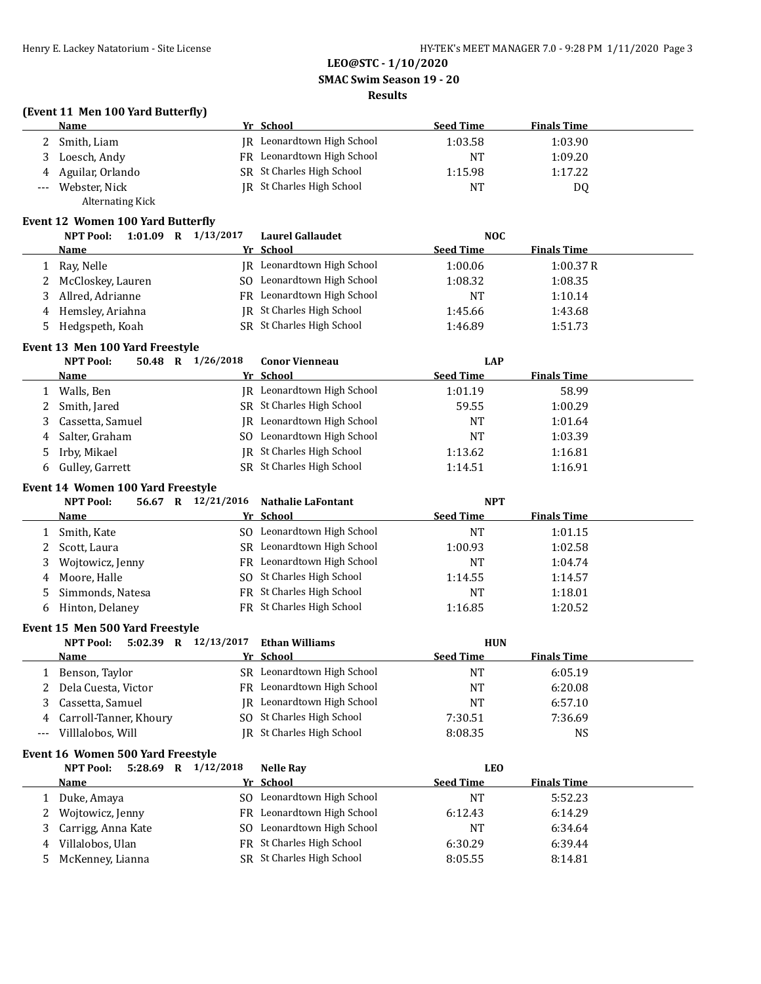#### **SMAC Swim Season 19 - 20**

### **Results**

# **(Event 11 Men 100 Yard Butterfly)**

| <b>Name</b>        | Yr School                  | <b>Seed Time</b> | <b>Finals Time</b> |  |
|--------------------|----------------------------|------------------|--------------------|--|
| Smith, Liam        | IR Leonardtown High School | 1:03.58          | 1:03.90            |  |
| Loesch, Andy       | FR Leonardtown High School | NT               | 1:09.20            |  |
| 4 Aguilar, Orlando | SR St Charles High School  | 1:15.98          | 1:17.22            |  |
| Webster, Nick      | IR St Charles High School  | NT               | D0                 |  |
| Alternating Kick   |                            |                  |                    |  |

### **Event 12 Women 100 Yard Butterfly**

| $1:01.09$ R<br><b>NPT Pool:</b> | 1/13/2017 | <b>Laurel Gallaudet</b>          | <b>NOC</b>       |                    |
|---------------------------------|-----------|----------------------------------|------------------|--------------------|
| Name                            |           | Yr School                        | <b>Seed Time</b> | <b>Finals Time</b> |
| 1 Ray, Nelle                    |           | IR Leonardtown High School       | 1:00.06          | 1:00.37R           |
| 2 McCloskey, Lauren             |           | SO Leonardtown High School       | 1:08.32          | 1:08.35            |
| 3 Allred, Adrianne              |           | FR Leonardtown High School       | NT               | 1:10.14            |
| 4 Hemsley, Ariahna              |           | <b>IR</b> St Charles High School | 1:45.66          | 1:43.68            |
| Hedgspeth, Koah                 |           | SR St Charles High School        | 1:46.89          | 1:51.73            |

#### **Event 13 Men 100 Yard Freestyle**

| <b>NPT Pool:</b><br>50.48<br>R | 1/26/2018 | <b>Conor Vienneau</b>      | LAP              |                    |  |
|--------------------------------|-----------|----------------------------|------------------|--------------------|--|
| Name                           |           | Yr School                  | <b>Seed Time</b> | <b>Finals Time</b> |  |
| Walls, Ben                     |           | JR Leonardtown High School | 1:01.19          | 58.99              |  |
| 2 Smith, Jared                 |           | SR St Charles High School  | 59.55            | 1:00.29            |  |
| Cassetta, Samuel               |           | JR Leonardtown High School | NT               | 1:01.64            |  |
| 4 Salter, Graham               |           | SO Leonardtown High School | NT               | 1:03.39            |  |
| 5 Irby, Mikael                 |           | JR St Charles High School  | 1:13.62          | 1:16.81            |  |
| 6 Gulley, Garrett              |           | SR St Charles High School  | 1:14.51          | 1:16.91            |  |

#### **Event 14 Women 100 Yard Freestyle**

|    | <b>NPT Pool:</b><br>56.67<br>R | 12/21/2016 Nathalie LaFontant | <b>NPT</b>       |                    |  |
|----|--------------------------------|-------------------------------|------------------|--------------------|--|
|    | Name                           | Yr School                     | <b>Seed Time</b> | <b>Finals Time</b> |  |
|    | Smith, Kate                    | SO Leonardtown High School    | NT               | 1:01.15            |  |
|    | Scott, Laura                   | SR Leonardtown High School    | 1:00.93          | 1:02.58            |  |
|    | 3 Wojtowicz, Jenny             | FR Leonardtown High School    | NΤ               | 1:04.74            |  |
| 4  | Moore, Halle                   | SO St Charles High School     | 1:14.55          | 1:14.57            |  |
| 5. | Simmonds, Natesa               | FR St Charles High School     | NT               | 1:18.01            |  |
| 6  | Hinton, Delaney                | FR St Charles High School     | 1:16.85          | 1:20.52            |  |

### **Event 15 Men 500 Yard Freestyle**

|          | <b>NPT Pool:</b><br>$5:02.39$ R         | 12/13/2017 | Ethan Williams             | <b>HUN</b>       |                    |  |
|----------|-----------------------------------------|------------|----------------------------|------------------|--------------------|--|
|          | <b>Name</b>                             |            | Yr School                  | <b>Seed Time</b> | <b>Finals Time</b> |  |
| 1        | Benson, Taylor                          |            | SR Leonardtown High School | <b>NT</b>        | 6:05.19            |  |
|          | Dela Cuesta, Victor                     |            | FR Leonardtown High School | <b>NT</b>        | 6:20.08            |  |
| 3        | Cassetta, Samuel                        | IR         | Leonardtown High School    | NT               | 6:57.10            |  |
| 4        | Carroll-Tanner, Khoury                  | SO.        | St Charles High School     | 7:30.51          | 7:36.69            |  |
| $\cdots$ | Villlalobos, Will                       |            | IR St Charles High School  | 8:08.35          | <b>NS</b>          |  |
|          | Event 16 Women 500 Yard Freestyle       |            |                            |                  |                    |  |
|          |                                         |            |                            |                  |                    |  |
|          | 5:28.69 R 1/12/2018<br><b>NPT Pool:</b> |            | <b>Nelle Ray</b>           | <b>LEO</b>       |                    |  |
|          | Name                                    |            | Yr School                  | <b>Seed Time</b> | <b>Finals Time</b> |  |
|          | Duke, Amaya                             | SO.        | Leonardtown High School    | NT               | 5:52.23            |  |
|          | Wojtowicz, Jenny                        |            | FR Leonardtown High School | 6:12.43          | 6:14.29            |  |
| 3        | Carrigg, Anna Kate                      | SO.        | Leonardtown High School    | NT               | 6:34.64            |  |
| 4        | Villalobos, Ulan                        |            | FR St Charles High School  | 6:30.29          | 6:39.44            |  |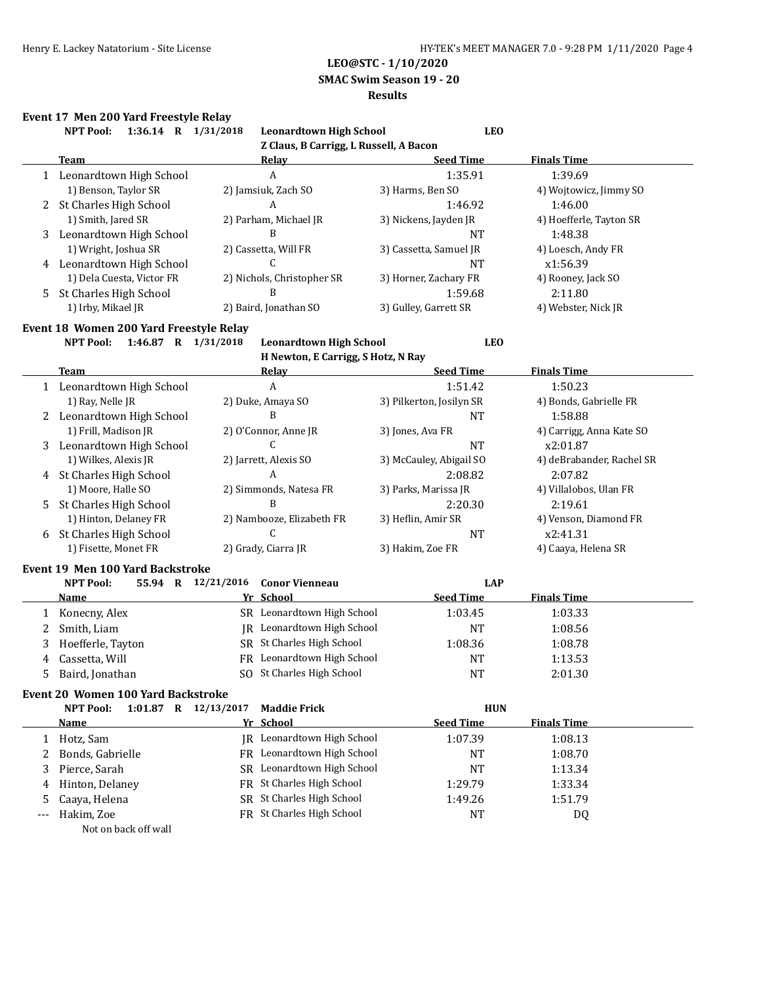**SMAC Swim Season 19 - 20**

### **Results**

#### **Event 17 Men 200 Yard Freestyle Relay**

|              | Event 17 Men 200 Yard Freestyle Relay<br>1:36.14 R 1/31/2018<br><b>NPT Pool:</b> | <b>Leonardtown High School</b>         | <b>LEO</b>               |                           |
|--------------|----------------------------------------------------------------------------------|----------------------------------------|--------------------------|---------------------------|
|              |                                                                                  | Z Claus, B Carrigg, L Russell, A Bacon |                          |                           |
|              | <b>Team</b>                                                                      | Relay                                  | <b>Seed Time</b>         | <b>Finals Time</b>        |
|              | 1 Leonardtown High School                                                        | $\boldsymbol{A}$                       | 1:35.91                  | 1:39.69                   |
|              | 1) Benson, Taylor SR                                                             | 2) Jamsiuk, Zach SO                    | 3) Harms, Ben SO         | 4) Wojtowicz, Jimmy SO    |
|              | 2 St Charles High School                                                         | A                                      | 1:46.92                  | 1:46.00                   |
|              | 1) Smith, Jared SR                                                               | 2) Parham, Michael JR                  | 3) Nickens, Jayden JR    | 4) Hoefferle, Tayton SR   |
| 3            | Leonardtown High School                                                          | B                                      | <b>NT</b>                | 1:48.38                   |
|              | 1) Wright, Joshua SR                                                             | 2) Cassetta, Will FR                   | 3) Cassetta, Samuel JR   | 4) Loesch, Andy FR        |
|              | 4 Leonardtown High School                                                        | C                                      | <b>NT</b>                | x1:56.39                  |
|              | 1) Dela Cuesta, Victor FR                                                        | 2) Nichols, Christopher SR             | 3) Horner, Zachary FR    | 4) Rooney, Jack SO        |
| 5.           | <b>St Charles High School</b>                                                    | B                                      | 1:59.68                  | 2:11.80                   |
|              | 1) Irby, Mikael JR                                                               | 2) Baird, Jonathan SO                  | 3) Gulley, Garrett SR    | 4) Webster, Nick JR       |
|              | Event 18 Women 200 Yard Freestyle Relay                                          |                                        |                          |                           |
|              | <b>NPT Pool:</b><br>1:46.87 R 1/31/2018                                          | <b>Leonardtown High School</b>         | <b>LEO</b>               |                           |
|              |                                                                                  | H Newton, E Carrigg, S Hotz, N Ray     |                          |                           |
|              | <b>Team</b>                                                                      | Relay                                  | <b>Seed Time</b>         | <b>Finals Time</b>        |
|              | 1 Leonardtown High School                                                        | A                                      | 1:51.42                  | 1:50.23                   |
|              | 1) Ray, Nelle JR                                                                 | 2) Duke, Amaya SO                      | 3) Pilkerton, Josilyn SR | 4) Bonds, Gabrielle FR    |
| 2            | Leonardtown High School                                                          | B                                      | <b>NT</b>                | 1:58.88                   |
|              | 1) Frill, Madison JR                                                             | 2) O'Connor, Anne JR                   | 3) Jones, Ava FR         | 4) Carrigg, Anna Kate SO  |
| 3            | Leonardtown High School                                                          | $\mathcal{C}$                          | <b>NT</b>                | x2:01.87                  |
|              | 1) Wilkes, Alexis JR                                                             | 2) Jarrett, Alexis SO                  | 3) McCauley, Abigail SO  | 4) deBrabander, Rachel SR |
|              | 4 St Charles High School                                                         | A                                      | 2:08.82                  | 2:07.82                   |
|              | 1) Moore, Halle SO                                                               | 2) Simmonds, Natesa FR                 | 3) Parks, Marissa JR     | 4) Villalobos, Ulan FR    |
| 5            | St Charles High School                                                           | B                                      | 2:20.30                  | 2:19.61                   |
|              | 1) Hinton, Delaney FR                                                            | 2) Nambooze, Elizabeth FR              | 3) Heflin, Amir SR       | 4) Venson, Diamond FR     |
| 6            | St Charles High School                                                           | C                                      | <b>NT</b>                | x2:41.31                  |
|              | 1) Fisette, Monet FR                                                             | 2) Grady, Ciarra JR                    | 3) Hakim, Zoe FR         | 4) Caaya, Helena SR       |
|              | <b>Event 19 Men 100 Yard Backstroke</b>                                          |                                        |                          |                           |
|              | 55.94 R 12/21/2016<br><b>NPT Pool:</b>                                           | <b>Conor Vienneau</b>                  | <b>LAP</b>               |                           |
|              | Name                                                                             | Yr School                              | <b>Seed Time</b>         | <b>Finals Time</b>        |
| $\mathbf{1}$ | Konecny, Alex                                                                    | SR Leonardtown High School             | 1:03.45                  | 1:03.33                   |
| 2            | Smith, Liam                                                                      | JR Leonardtown High School             | <b>NT</b>                | 1:08.56                   |
| 3            | Hoefferle, Tayton                                                                | SR St Charles High School              | 1:08.36                  | 1:08.78                   |
| 4            | Cassetta, Will                                                                   | FR Leonardtown High School             | <b>NT</b>                | 1:13.53                   |
| 5            | Baird, Jonathan                                                                  | SO St Charles High School              | <b>NT</b>                | 2:01.30                   |
|              |                                                                                  |                                        |                          |                           |

# **Event 20 Women 100 Yard Backstroke**

| 1:01.87<br>R<br>NPT Pool: | 12/13/2017<br><b>Maddie Frick</b> | <b>HUN</b>       |                    |
|---------------------------|-----------------------------------|------------------|--------------------|
| Name                      | Yr School                         | <b>Seed Time</b> | <b>Finals Time</b> |
| 1 Hotz, Sam               | <b>IR</b> Leonardtown High School | 1:07.39          | 1:08.13            |
| 2 Bonds, Gabrielle        | FR Leonardtown High School        | NΤ               | 1:08.70            |
| 3 Pierce, Sarah           | SR Leonardtown High School        | NT               | 1:13.34            |
| 4 Hinton, Delaney         | FR St Charles High School         | 1:29.79          | 1:33.34            |
| 5 Caaya, Helena           | SR St Charles High School         | 1:49.26          | 1:51.79            |
| --- Hakim, Zoe            | FR St Charles High School         | NT               | DQ                 |
|                           |                                   |                  |                    |

Not on back off wall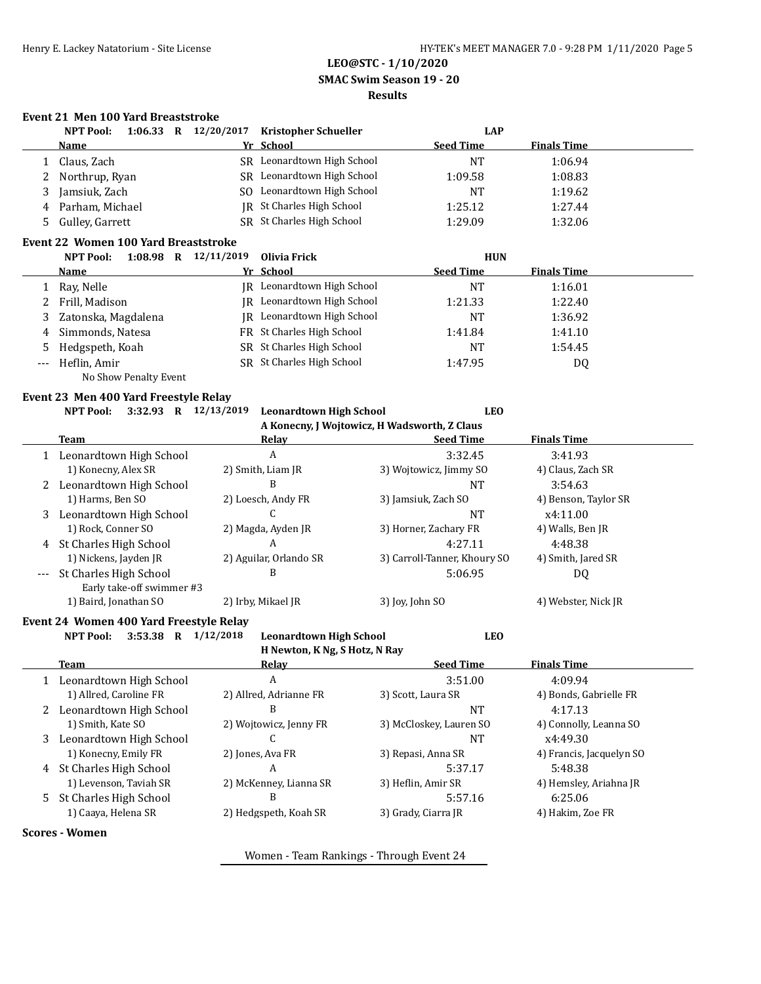# **LEO@STC - 1/10/2020 SMAC Swim Season 19 - 20 Results**

## **Event 21 Men 100 Yard Breaststroke**

| <b>NPT Pool:</b><br>$1:06.33$ R | 12/20/2017<br><b>Kristopher Schueller</b> | LAP              |                    |
|---------------------------------|-------------------------------------------|------------------|--------------------|
| Name                            | Yr School                                 | <b>Seed Time</b> | <b>Finals Time</b> |
| 1 Claus, Zach                   | SR Leonardtown High School                | <b>NT</b>        | 1:06.94            |
| 2 Northrup, Ryan                | SR Leonardtown High School                | 1:09.58          | 1:08.83            |
| 3 Jamsiuk, Zach                 | Leonardtown High School<br>SO.            | NT               | 1:19.62            |
| 4 Parham, Michael               | IR St Charles High School                 | 1:25.12          | 1:27.44            |
| 5 Gulley, Garrett               | SR St Charles High School                 | 1:29.09          | 1:32.06            |

#### **Event 22 Women 100 Yard Breaststroke**

|       | <b>NPT Pool:</b><br>$1:08.98$ R | 12/11/2019 | Olivia Frick               | <b>HUN</b>       |                    |  |
|-------|---------------------------------|------------|----------------------------|------------------|--------------------|--|
|       | <b>Name</b>                     |            | Yr School                  | <b>Seed Time</b> | <b>Finals Time</b> |  |
|       | Ray, Nelle                      |            | JR Leonardtown High School | NΤ               | 1:16.01            |  |
|       | 2 Frill, Madison                |            | JR Leonardtown High School | 1:21.33          | 1:22.40            |  |
|       | 3 Zatonska, Magdalena           |            | IR Leonardtown High School | <b>NT</b>        | 1:36.92            |  |
|       | 4 Simmonds, Natesa              |            | FR St Charles High School  | 1:41.84          | 1:41.10            |  |
|       | 5 Hedgspeth, Koah               |            | SR St Charles High School  | NT               | 1:54.45            |  |
| $---$ | Heflin, Amir                    |            | SR St Charles High School  | 1:47.95          | DQ                 |  |
|       | No Show Penalty Event           |            |                            |                  |                    |  |

#### **Event 23 Men 400 Yard Freestyle Relay**

#### **NPT Pool: 3:32.93 R 12/13/2019 Leonardtown High School LEO A Konecny, J Wojtowicz, H Wadsworth, Z Claus**

|       | A KONECHY, J WOJLOWICZ, H WAUSWOFTH, Z CIAUS |                        |                              |                      |  |  |  |  |
|-------|----------------------------------------------|------------------------|------------------------------|----------------------|--|--|--|--|
|       | Team                                         | Relav                  | <b>Seed Time</b>             | <b>Finals Time</b>   |  |  |  |  |
|       | Leonardtown High School                      | A                      | 3:32.45                      | 3:41.93              |  |  |  |  |
|       | 1) Konecny, Alex SR                          | 2) Smith, Liam JR      | 3) Wojtowicz, Jimmy SO       | 4) Claus, Zach SR    |  |  |  |  |
| 2     | Leonardtown High School                      | B                      | NT                           | 3:54.63              |  |  |  |  |
|       | 1) Harms, Ben SO                             | 2) Loesch, Andy FR     | 3) Jamsiuk, Zach SO          | 4) Benson, Taylor SR |  |  |  |  |
| 3     | Leonardtown High School                      |                        | NT                           | x4:11.00             |  |  |  |  |
|       | 1) Rock, Conner SO                           | 2) Magda, Ayden JR     | 3) Horner, Zachary FR        | 4) Walls, Ben JR     |  |  |  |  |
| 4     | St Charles High School                       | A                      | 4:27.11                      | 4:48.38              |  |  |  |  |
|       | 1) Nickens, Jayden JR                        | 2) Aguilar, Orlando SR | 3) Carroll-Tanner, Khoury SO | 4) Smith, Jared SR   |  |  |  |  |
| $---$ | St Charles High School                       | B                      | 5:06.95                      | DQ                   |  |  |  |  |
|       | Early take-off swimmer #3                    |                        |                              |                      |  |  |  |  |
|       | 1) Baird, Jonathan SO                        | 2) Irby, Mikael JR     | 3) Joy, John SO              | 4) Webster, Nick JR  |  |  |  |  |

### **Event 24 Women 400 Yard Freestyle Relay**

**NPT Pool: 3:53.38 R 1/12/2018 Leonardtown High School LEO H Newton, K Ng, S Hotz, N Ray**

|   | <b>Team</b>              | Relay                  | <b>Seed Time</b>        | <b>Finals Time</b>       |
|---|--------------------------|------------------------|-------------------------|--------------------------|
|   | Leonardtown High School  | A                      | 3:51.00                 | 4:09.94                  |
|   | 1) Allred, Caroline FR   | 2) Allred, Adrianne FR | 3) Scott, Laura SR      | 4) Bonds, Gabrielle FR   |
|   | Leonardtown High School  | B                      | NT                      | 4:17.13                  |
|   | 1) Smith, Kate SO        | 2) Wojtowicz, Jenny FR | 3) McCloskey, Lauren SO | 4) Connolly, Leanna SO   |
| 3 | Leonardtown High School  |                        | NΤ                      | x4:49.30                 |
|   | 1) Konecny, Emily FR     | 2) Jones, Ava FR       | 3) Repasi, Anna SR      | 4) Francis, Jacquelyn SO |
| 4 | St Charles High School   | A                      | 5:37.17                 | 5:48.38                  |
|   | 1) Levenson, Taviah SR   | 2) McKenney, Lianna SR | 3) Heflin, Amir SR      | 4) Hemsley, Ariahna JR   |
|   | 5 St Charles High School | В                      | 5:57.16                 | 6:25.06                  |
|   | 1) Caaya, Helena SR      | 2) Hedgspeth, Koah SR  | 3) Grady, Ciarra JR     | 4) Hakim, Zoe FR         |
|   |                          |                        |                         |                          |

### **Scores - Women**

Women - Team Rankings - Through Event 24